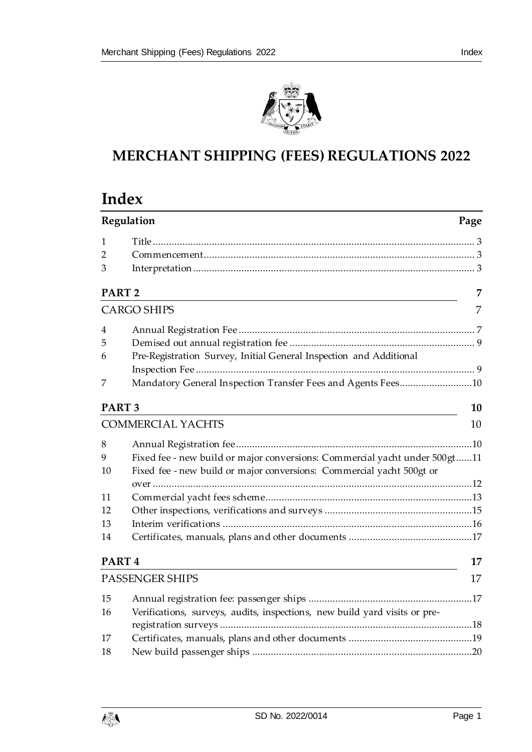

# **MERCHANT SHIPPING (FEES) REGULATIONS 2022**

# **Index**

|                   | Regulation                                                                 | Page |
|-------------------|----------------------------------------------------------------------------|------|
| 1                 |                                                                            |      |
| $\overline{2}$    |                                                                            |      |
| 3                 |                                                                            |      |
| PART <sub>2</sub> |                                                                            | 7    |
|                   | <b>CARGO SHIPS</b>                                                         | 7    |
| 4                 |                                                                            |      |
| 5                 |                                                                            |      |
| 6                 | Pre-Registration Survey, Initial General Inspection and Additional         |      |
|                   |                                                                            |      |
| 7                 | Mandatory General Inspection Transfer Fees and Agents Fees10               |      |
| PART <sub>3</sub> |                                                                            | 10   |
|                   | <b>COMMERCIAL YACHTS</b>                                                   | 10   |
| 8                 |                                                                            |      |
| 9                 | Fixed fee - new build or major conversions: Commercial yacht under 500gt11 |      |
| 10                | Fixed fee - new build or major conversions: Commercial yacht 500gt or      |      |
|                   |                                                                            |      |
| 11                |                                                                            |      |
| 12                |                                                                            |      |
| 13                |                                                                            |      |
| 14                |                                                                            |      |
| PART <sub>4</sub> |                                                                            | 17   |
|                   | <b>PASSENGER SHIPS</b>                                                     | 17   |
| 15                |                                                                            |      |
| 16                | Verifications, surveys, audits, inspections, new build yard visits or pre- |      |
|                   |                                                                            |      |
| 17                |                                                                            |      |
| 18                |                                                                            |      |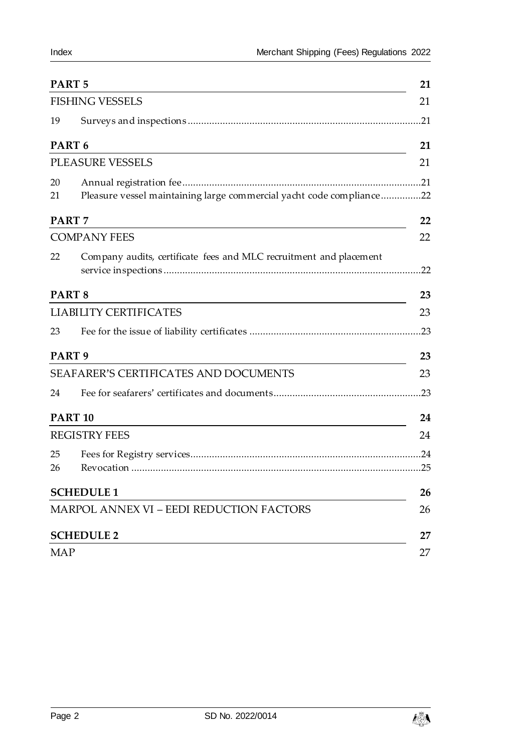| PART <sub>5</sub> |                                                                      | 21  |
|-------------------|----------------------------------------------------------------------|-----|
|                   | <b>FISHING VESSELS</b>                                               | 21  |
| 19                |                                                                      | .21 |
|                   | PART <sub>6</sub>                                                    | 21  |
|                   | <b>PLEASURE VESSELS</b>                                              | 21  |
| 20                |                                                                      |     |
| 21                | Pleasure vessel maintaining large commercial yacht code compliance22 |     |
|                   | PART <sub>7</sub>                                                    | 22  |
|                   | <b>COMPANY FEES</b>                                                  | 22  |
| 22                | Company audits, certificate fees and MLC recruitment and placement   | .22 |
|                   | PART <sub>8</sub>                                                    | 23  |
|                   | <b>LIABILITY CERTIFICATES</b>                                        | 23  |
| 23                |                                                                      | .23 |
|                   | PART <sub>9</sub>                                                    | 23  |
|                   | SEAFARER'S CERTIFICATES AND DOCUMENTS                                | 23  |
| 24                |                                                                      |     |
|                   | <b>PART 10</b>                                                       | 24  |
|                   | <b>REGISTRY FEES</b>                                                 | 24  |
| 25                |                                                                      |     |
| 26                |                                                                      |     |
|                   | <b>SCHEDULE 1</b>                                                    | 26  |
|                   | <b>MARPOL ANNEX VI - EEDI REDUCTION FACTORS</b>                      | 26  |
|                   | <b>SCHEDULE 2</b>                                                    | 27  |
| <b>MAP</b>        |                                                                      | 27  |

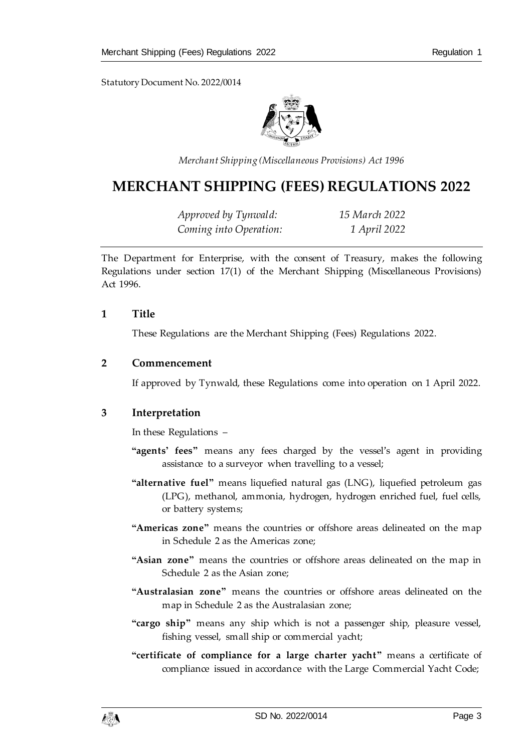

*Merchant Shipping (Miscellaneous Provisions) Act 1996*

# **MERCHANT SHIPPING (FEES) REGULATIONS 2022**

*Approved by Tynwald: 15 March 2022 Coming into Operation: 1 April 2022*

The Department for Enterprise, with the consent of Treasury, makes the following Regulations under section 17(1) of the Merchant Shipping (Miscellaneous Provisions) Act 1996.

#### <span id="page-2-0"></span>**1 Title**

These Regulations are the Merchant Shipping (Fees) Regulations 2022.

#### <span id="page-2-1"></span>**2 Commencement**

If approved by Tynwald, these Regulations come into operation on 1 April 2022.

## <span id="page-2-2"></span>**3 Interpretation**

In these Regulations –

- **"agents' fees"** means any fees charged by the vessel's agent in providing assistance to a surveyor when travelling to a vessel;
- **"alternative fuel"** means liquefied natural gas (LNG), liquefied petroleum gas (LPG), methanol, ammonia, hydrogen, hydrogen enriched fuel, fuel cells, or battery systems;
- **"Americas zone"** means the countries or offshore areas delineated on the map in Schedule 2 as the Americas zone;
- **"Asian zone"** means the countries or offshore areas delineated on the map in Schedule 2 as the Asian zone;
- **"Australasian zone"** means the countries or offshore areas delineated on the map in Schedule 2 as the Australasian zone;
- **"cargo ship"** means any ship which is not a passenger ship, pleasure vessel, fishing vessel, small ship or commercial yacht;
- **"certificate of compliance for a large charter yacht"** means a certificate of compliance issued in accordance with the Large Commercial Yacht Code;

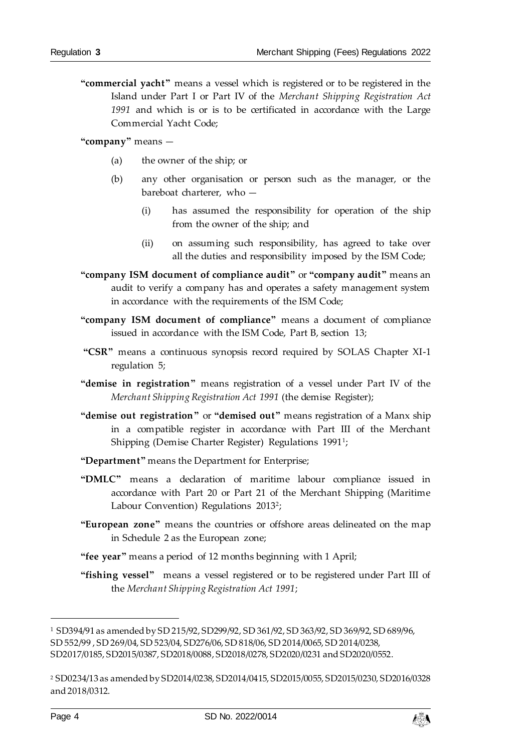**"commercial yacht"** means a vessel which is registered or to be registered in the Island under Part I or Part IV of the *Merchant Shipping Registration Act 1991* and which is or is to be certificated in accordance with the Large Commercial Yacht Code;

**"company"** means —

- (a) the owner of the ship; or
- (b) any other organisation or person such as the manager, or the bareboat charterer, who —
	- (i) has assumed the responsibility for operation of the ship from the owner of the ship; and
	- (ii) on assuming such responsibility, has agreed to take over all the duties and responsibility imposed by the ISM Code;
- **"company ISM document of compliance audit"** or **"company audit"** means an audit to verify a company has and operates a safety management system in accordance with the requirements of the ISM Code;
- **"company ISM document of compliance"** means a document of compliance issued in accordance with the ISM Code, Part B, section 13;
- **"CSR"** means a continuous synopsis record required by SOLAS Chapter XI-1 regulation 5;
- **"demise in registration"** means registration of a vessel under Part IV of the *Merchant Shipping Registration Act 1991* (the demise Register);
- **"demise out registration"** or **"demised out"** means registration of a Manx ship in a compatible register in accordance with Part III of the Merchant Shipping (Demise Charter Register) Regulations 1991<sup>1</sup>;
- **"Department"** means the Department for Enterprise;
- **"DMLC"** means a declaration of maritime labour compliance issued in accordance with Part 20 or Part 21 of the Merchant Shipping (Maritime Labour Convention) Regulations 2013<sup>2</sup> ;
- **"European zone"** means the countries or offshore areas delineated on the map in Schedule 2 as the European zone;
- **"fee year"** means a period of 12 months beginning with 1 April;
- **"fishing vessel"** means a vessel registered or to be registered under Part III of the *Merchant Shipping Registration Act 1991*;

l



<sup>1</sup> SD394/91 as amended by SD 215/92, SD299/92, SD 361/92, SD 363/92, SD 369/92, SD 689/96, SD 552/99 , SD 269/04, SD 523/04, SD276/06, SD 818/06, SD 2014/0065, SD 2014/0238, SD2017/0185, SD2015/0387, SD2018/0088, SD2018/0278, SD2020/0231 and SD2020/0552.

<sup>2</sup> SD0234/13 as amended by SD2014/0238, SD2014/0415, SD2015/0055, SD2015/0230, SD2016/0328 and 2018/0312.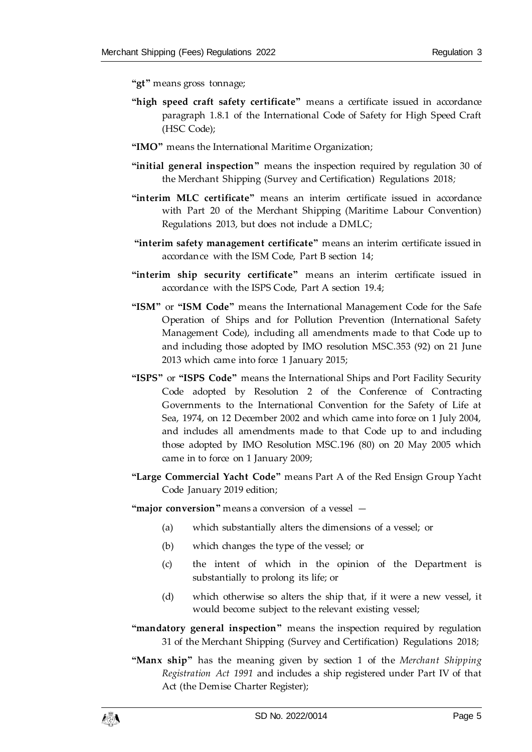**"gt"** means gross tonnage;

- "high speed craft safety certificate" means a certificate issued in accordance paragraph 1.8.1 of the International Code of Safety for High Speed Craft (HSC Code);
- **"IMO"** means the International Maritime Organization;
- **"initial general inspection"** means the inspection required by regulation 30 of the Merchant Shipping (Survey and Certification) Regulations 2018*;*
- **"interim MLC certificate"** means an interim certificate issued in accordance with Part 20 of the Merchant Shipping (Maritime Labour Convention) Regulations 2013, but does not include a DMLC;
- **"interim safety management certificate"** means an interim certificate issued in accordance with the ISM Code, Part B section 14;
- **"interim ship security certificate"** means an interim certificate issued in accordance with the ISPS Code, Part A section 19.4;
- **"ISM"** or **"ISM Code"** means the International Management Code for the Safe Operation of Ships and for Pollution Prevention (International Safety Management Code), including all amendments made to that Code up to and including those adopted by IMO resolution MSC.353 (92) on 21 June 2013 which came into force 1 January 2015;
- **"ISPS"** or **"ISPS Code"** means the International Ships and Port Facility Security Code adopted by Resolution 2 of the Conference of Contracting Governments to the International Convention for the Safety of Life at Sea, 1974, on 12 December 2002 and which came into force on 1 July 2004, and includes all amendments made to that Code up to and including those adopted by IMO Resolution MSC.196 (80) on 20 May 2005 which came in to force on 1 January 2009;
- **"Large Commercial Yacht Code"** means Part A of the Red Ensign Group Yacht Code January 2019 edition;

**"major conversion"** means a conversion of a vessel —

- (a) which substantially alters the dimensions of a vessel; or
- (b) which changes the type of the vessel; or
- (c) the intent of which in the opinion of the Department is substantially to prolong its life; or
- (d) which otherwise so alters the ship that, if it were a new vessel, it would become subject to the relevant existing vessel;
- **"mandatory general inspection"** means the inspection required by regulation 31 of the Merchant Shipping (Survey and Certification) Regulations 2018;
- **"Manx ship"** has the meaning given by section 1 of the *Merchant Shipping Registration Act 1991* and includes a ship registered under Part IV of that Act (the Demise Charter Register);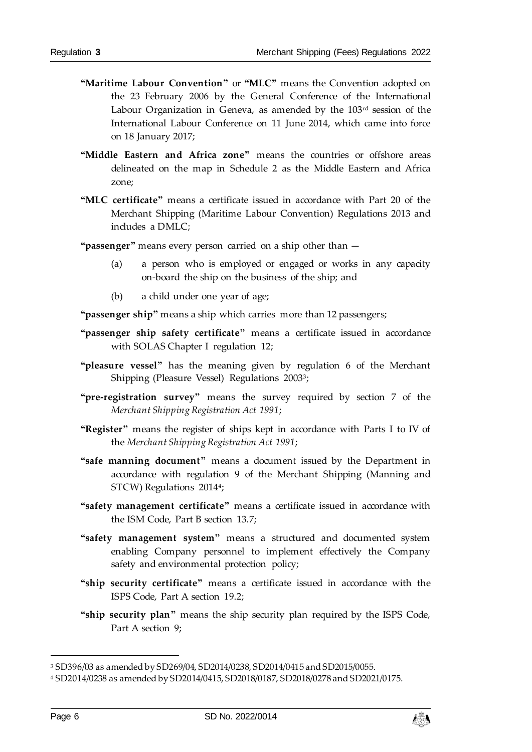- **"Maritime Labour Convention"** or **"MLC"** means the Convention adopted on the 23 February 2006 by the General Conference of the International Labour Organization in Geneva, as amended by the 103<sup>rd</sup> session of the International Labour Conference on 11 June 2014, which came into force on 18 January 2017;
- **"Middle Eastern and Africa zone"** means the countries or offshore areas delineated on the map in Schedule 2 as the Middle Eastern and Africa zone;
- **"MLC certificate"** means a certificate issued in accordance with Part 20 of the Merchant Shipping (Maritime Labour Convention) Regulations 2013 and includes a DMLC;
- **"passenger"** means every person carried on a ship other than
	- (a) a person who is employed or engaged or works in any capacity on-board the ship on the business of the ship; and
	- (b) a child under one year of age;

**"passenger ship"** means a ship which carries more than 12 passengers;

- **"passenger ship safety certificate"** means a certificate issued in accordance with SOLAS Chapter I regulation 12;
- **"pleasure vessel"** has the meaning given by regulation 6 of the Merchant Shipping (Pleasure Vessel) Regulations 2003<sup>3</sup> ;
- **"pre-registration survey"** means the survey required by section 7 of the *Merchant Shipping Registration Act 1991*;
- **"Register"** means the register of ships kept in accordance with Parts I to IV of the *Merchant Shipping Registration Act 1991*;
- **"safe manning document"** means a document issued by the Department in accordance with regulation 9 of the Merchant Shipping (Manning and STCW) Regulations 2014<sup>4</sup> ;
- **"safety management certificate"** means a certificate issued in accordance with the ISM Code, Part B section 13.7;
- **"safety management system"** means a structured and documented system enabling Company personnel to implement effectively the Company safety and environmental protection policy;
- **"ship security certificate"** means a certificate issued in accordance with the ISPS Code, Part A section 19.2;
- **"ship security plan"** means the ship security plan required by the ISPS Code, Part A section 9;

j



<sup>3</sup> SD396/03 as amended by SD269/04, SD2014/0238, SD2014/0415 and SD2015/0055.

<sup>4</sup> SD2014/0238 as amended by SD2014/0415, SD2018/0187, SD2018/0278 and SD2021/0175.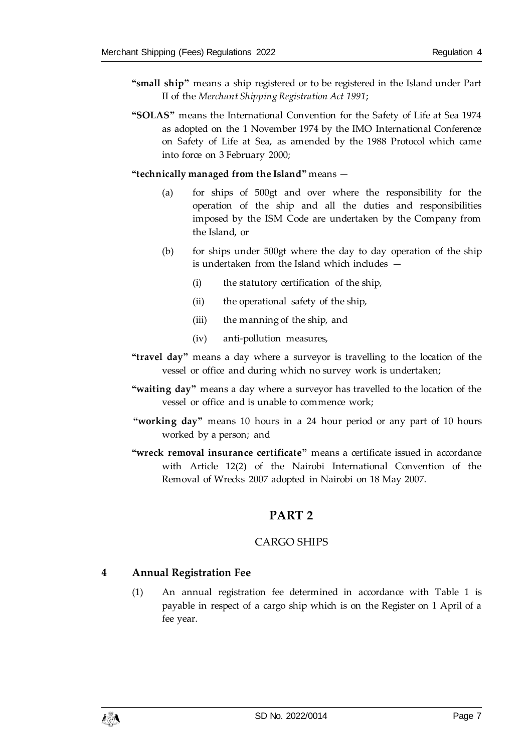- **"small ship"** means a ship registered or to be registered in the Island under Part II of the *Merchant Shipping Registration Act 1991*;
- **"SOLAS"** means the International Convention for the Safety of Life at Sea 1974 as adopted on the 1 November 1974 by the IMO International Conference on Safety of Life at Sea, as amended by the 1988 Protocol which came into force on 3 February 2000;

**"technically managed from the Island"** means —

- (a) for ships of 500gt and over where the responsibility for the operation of the ship and all the duties and responsibilities imposed by the ISM Code are undertaken by the Company from the Island, or
- (b) for ships under 500gt where the day to day operation of the ship is undertaken from the Island which includes —
	- (i) the statutory certification of the ship,
	- (ii) the operational safety of the ship,
	- (iii) the manning of the ship, and
	- (iv) anti-pollution measures,
- **"travel day"** means a day where a surveyor is travelling to the location of the vessel or office and during which no survey work is undertaken;
- **"waiting day"** means a day where a surveyor has travelled to the location of the vessel or office and is unable to commence work;
- **"working day"** means 10 hours in a 24 hour period or any part of 10 hours worked by a person; and
- <span id="page-6-0"></span>**"wreck removal insurance certificate"** means a certificate issued in accordance with Article 12(2) of the Nairobi International Convention of the Removal of Wrecks 2007 adopted in Nairobi on 18 May 2007.

# **PART 2**

## CARGO SHIPS

#### <span id="page-6-2"></span><span id="page-6-1"></span>**4 Annual Registration Fee**

(1) An annual registration fee determined in accordance with Table 1 is payable in respect of a cargo ship which is on the Register on 1 April of a fee year.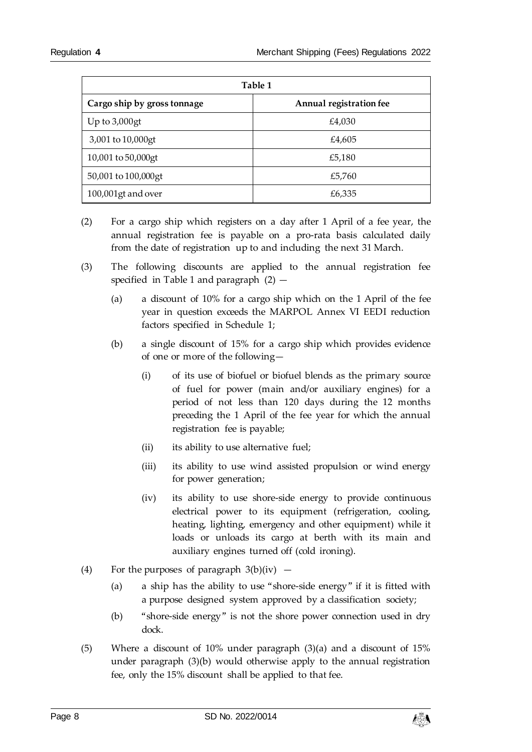| Table 1                     |                         |  |
|-----------------------------|-------------------------|--|
| Cargo ship by gross tonnage | Annual registration fee |  |
| Up to $3,000$ gt            | £4,030                  |  |
| 3,001 to 10,000gt           | £4,605                  |  |
| 10,001 to 50,000gt          | £5,180                  |  |
| 50,001 to 100,000 gt        | £5,760                  |  |
| 100,001gt and over          | £6,335                  |  |

- (2) For a cargo ship which registers on a day after 1 April of a fee year, the annual registration fee is payable on a pro-rata basis calculated daily from the date of registration up to and including the next 31 March.
- (3) The following discounts are applied to the annual registration fee specified in Table 1 and paragraph  $(2)$  -
	- (a) a discount of 10% for a cargo ship which on the 1 April of the fee year in question exceeds the MARPOL Annex VI EEDI reduction factors specified in Schedule 1;
	- (b) a single discount of 15% for a cargo ship which provides evidence of one or more of the following—
		- (i) of its use of biofuel or biofuel blends as the primary source of fuel for power (main and/or auxiliary engines) for a period of not less than 120 days during the 12 months preceding the 1 April of the fee year for which the annual registration fee is payable;
		- (ii) its ability to use alternative fuel;
		- (iii) its ability to use wind assisted propulsion or wind energy for power generation;
		- (iv) its ability to use shore-side energy to provide continuous electrical power to its equipment (refrigeration, cooling, heating, lighting, emergency and other equipment) while it loads or unloads its cargo at berth with its main and auxiliary engines turned off (cold ironing).
- (4) For the purposes of paragraph  $3(b)(iv)$ 
	- (a) a ship has the ability to use "shore-side energy" if it is fitted with a purpose designed system approved by a classification society;
	- (b) "shore-side energy" is not the shore power connection used in dry dock.
- (5) Where a discount of 10% under paragraph (3)(a) and a discount of 15% under paragraph (3)(b) would otherwise apply to the annual registration fee, only the 15% discount shall be applied to that fee.

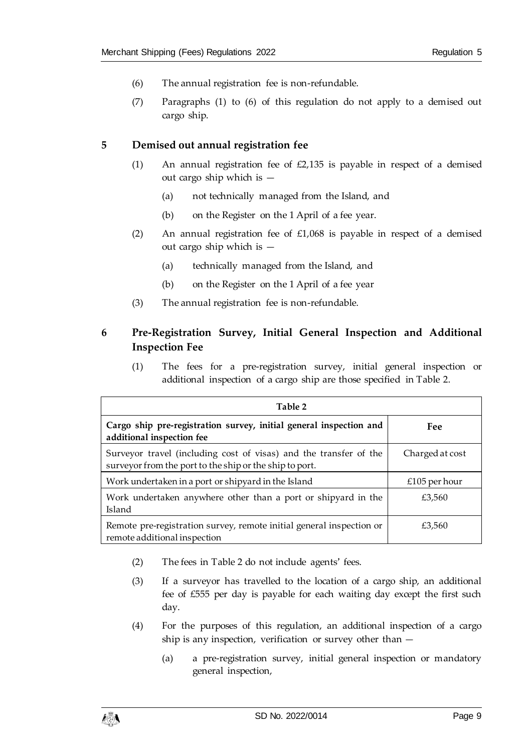- (6) The annual registration fee is non-refundable.
- (7) Paragraphs (1) to (6) of this regulation do not apply to a demised out cargo ship.

#### <span id="page-8-0"></span>**5 Demised out annual registration fee**

- (1) An annual registration fee of  $E2,135$  is payable in respect of a demised out cargo ship which is —
	- (a) not technically managed from the Island, and
	- (b) on the Register on the 1 April of a fee year.
- (2) An annual registration fee of  $£1,068$  is payable in respect of a demised out cargo ship which is —
	- (a) technically managed from the Island, and
	- (b) on the Register on the 1 April of a fee year
- (3) The annual registration fee is non-refundable.

# <span id="page-8-1"></span>**6 Pre-Registration Survey, Initial General Inspection and Additional Inspection Fee**

(1) The fees for a pre-registration survey, initial general inspection or additional inspection of a cargo ship are those specified in Table 2.

| Table 2                                                                                                                      |                 |
|------------------------------------------------------------------------------------------------------------------------------|-----------------|
| Cargo ship pre-registration survey, initial general inspection and<br>additional inspection fee                              | Fee             |
| Surveyor travel (including cost of visas) and the transfer of the<br>surveyor from the port to the ship or the ship to port. | Charged at cost |
| Work undertaken in a port or shipyard in the Island                                                                          | £105 per hour   |
| Work undertaken anywhere other than a port or shipyard in the<br>Island                                                      | £3,560          |
| Remote pre-registration survey, remote initial general inspection or<br>remote additional inspection                         | £3,560          |

- (2) The fees in Table 2 do not include agents' fees.
- (3) If a surveyor has travelled to the location of a cargo ship, an additional fee of £555 per day is payable for each waiting day except the first such day.
- (4) For the purposes of this regulation, an additional inspection of a cargo ship is any inspection, verification or survey other than —
	- (a) a pre-registration survey, initial general inspection or mandatory general inspection,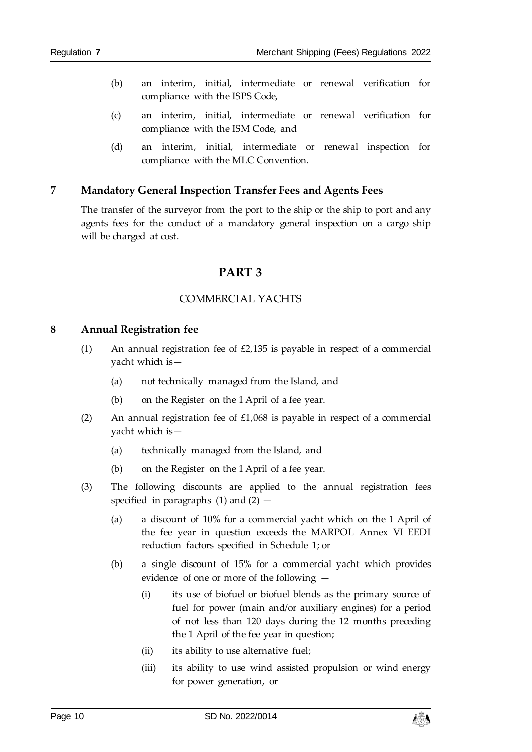- (b) an interim, initial, intermediate or renewal verification for compliance with the ISPS Code,
- (c) an interim, initial, intermediate or renewal verification for compliance with the ISM Code, and
- (d) an interim, initial, intermediate or renewal inspection for compliance with the MLC Convention.

#### <span id="page-9-0"></span>**7 Mandatory General Inspection Transfer Fees and Agents Fees**

<span id="page-9-1"></span>The transfer of the surveyor from the port to the ship or the ship to port and any agents fees for the conduct of a mandatory general inspection on a cargo ship will be charged at cost.

# **PART 3**

#### COMMERCIAL YACHTS

#### <span id="page-9-3"></span><span id="page-9-2"></span>**8 Annual Registration fee**

- (1) An annual registration fee of £2,135 is payable in respect of a commercial yacht which is—
	- (a) not technically managed from the Island, and
	- (b) on the Register on the 1 April of a fee year.
- (2) An annual registration fee of  $£1,068$  is payable in respect of a commercial yacht which is—
	- (a) technically managed from the Island, and
	- (b) on the Register on the 1 April of a fee year.
- (3) The following discounts are applied to the annual registration fees specified in paragraphs  $(1)$  and  $(2)$  –
	- (a) a discount of 10% for a commercial yacht which on the 1 April of the fee year in question exceeds the MARPOL Annex VI EEDI reduction factors specified in Schedule 1; or
	- (b) a single discount of 15% for a commercial yacht which provides evidence of one or more of the following —
		- (i) its use of biofuel or biofuel blends as the primary source of fuel for power (main and/or auxiliary engines) for a period of not less than 120 days during the 12 months preceding the 1 April of the fee year in question;
		- (ii) its ability to use alternative fuel;
		- (iii) its ability to use wind assisted propulsion or wind energy for power generation, or

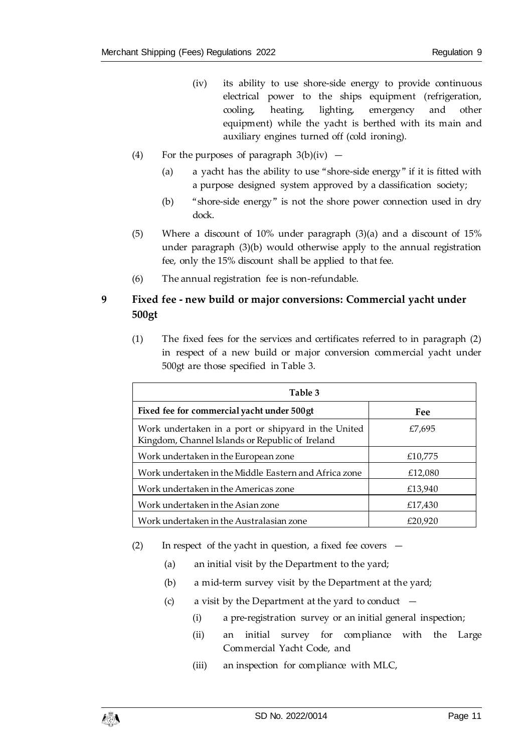- (iv) its ability to use shore-side energy to provide continuous electrical power to the ships equipment (refrigeration, cooling, heating, lighting, emergency and other equipment) while the yacht is berthed with its main and auxiliary engines turned off (cold ironing).
- (4) For the purposes of paragraph  $3(b)(iv)$ 
	- (a) a yacht has the ability to use "shore-side energy" if it is fitted with a purpose designed system approved by a classification society;
	- (b) "shore-side energy" is not the shore power connection used in dry dock.
- (5) Where a discount of 10% under paragraph (3)(a) and a discount of 15% under paragraph (3)(b) would otherwise apply to the annual registration fee, only the 15% discount shall be applied to that fee.
- (6) The annual registration fee is non-refundable.

# <span id="page-10-0"></span>**9 Fixed fee - new build or major conversions: Commercial yacht under 500gt**

(1) The fixed fees for the services and certificates referred to in paragraph (2) in respect of a new build or major conversion commercial yacht under 500gt are those specified in Table 3.

| Table 3                                                                                                |         |  |
|--------------------------------------------------------------------------------------------------------|---------|--|
| Fixed fee for commercial yacht under 500gt                                                             | Fee     |  |
| Work undertaken in a port or shipyard in the United<br>Kingdom, Channel Islands or Republic of Ireland | £7,695  |  |
| Work undertaken in the European zone                                                                   | £10,775 |  |
| Work undertaken in the Middle Eastern and Africa zone                                                  | £12,080 |  |
| Work undertaken in the Americas zone                                                                   | £13,940 |  |
| Work undertaken in the Asian zone                                                                      | £17,430 |  |
| Work undertaken in the Australasian zone                                                               | £20,920 |  |

- (2) In respect of the yacht in question, a fixed fee covers
	- (a) an initial visit by the Department to the yard;
	- (b) a mid-term survey visit by the Department at the yard;
	- (c) a visit by the Department at the yard to conduct  $-$ 
		- (i) a pre-registration survey or an initial general inspection;
		- (ii) an initial survey for compliance with the Large Commercial Yacht Code, and
		- (iii) an inspection for compliance with MLC,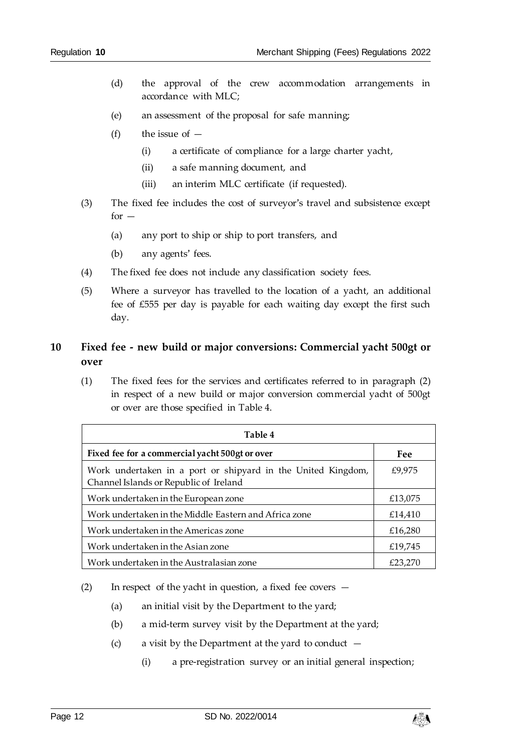- (d) the approval of the crew accommodation arrangements in accordance with MLC;
- (e) an assessment of the proposal for safe manning;
- (f) the issue of  $-$ 
	- (i) a certificate of compliance for a large charter yacht,
	- (ii) a safe manning document, and
	- (iii) an interim MLC certificate (if requested).
- (3) The fixed fee includes the cost of surveyor's travel and subsistence except  $for -$ 
	- (a) any port to ship or ship to port transfers, and
	- (b) any agents' fees.
- (4) The fixed fee does not include any classification society fees.
- (5) Where a surveyor has travelled to the location of a yacht, an additional fee of £555 per day is payable for each waiting day except the first such day.

# <span id="page-11-0"></span>**10 Fixed fee - new build or major conversions: Commercial yacht 500gt or over**

(1) The fixed fees for the services and certificates referred to in paragraph (2) in respect of a new build or major conversion commercial yacht of 500gt or over are those specified in Table 4.

| Table 4                                                                                                |         |
|--------------------------------------------------------------------------------------------------------|---------|
| Fixed fee for a commercial yacht 500gt or over                                                         | Fee     |
| Work undertaken in a port or shipyard in the United Kingdom,<br>Channel Islands or Republic of Ireland | £9,975  |
| Work undertaken in the European zone                                                                   | £13,075 |
| Work undertaken in the Middle Eastern and Africa zone                                                  | £14,410 |
| Work undertaken in the Americas zone                                                                   | £16,280 |
| Work undertaken in the Asian zone                                                                      | £19,745 |
| Work undertaken in the Australasian zone                                                               | £23.270 |

- (2) In respect of the yacht in question, a fixed fee covers
	- (a) an initial visit by the Department to the yard;
	- (b) a mid-term survey visit by the Department at the yard;
	- (c) a visit by the Department at the yard to conduct  $-$ 
		- (i) a pre-registration survey or an initial general inspection;

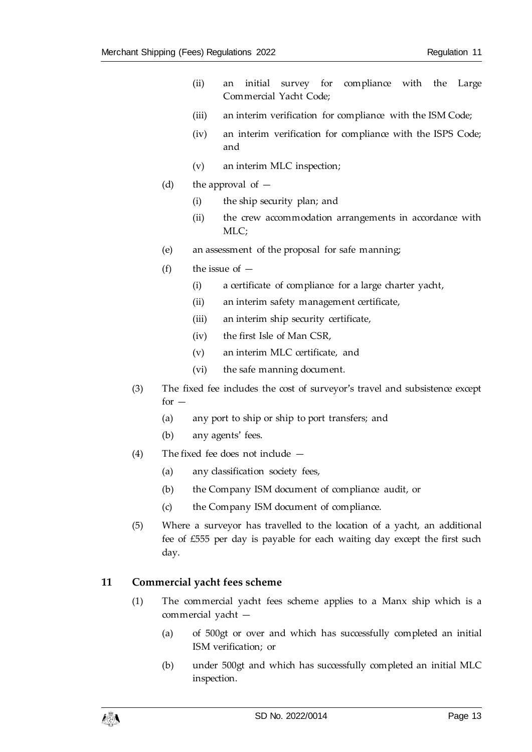- (ii) an initial survey for compliance with the Large Commercial Yacht Code;
- (iii) an interim verification for compliance with the ISM Code;
- (iv) an interim verification for compliance with the ISPS Code; and
- (v) an interim MLC inspection;
- (d) the approval of  $-$ 
	- (i) the ship security plan; and
	- (ii) the crew accommodation arrangements in accordance with MLC;
- (e) an assessment of the proposal for safe manning;
- (f) the issue of  $-$ 
	- (i) a certificate of compliance for a large charter yacht,
	- (ii) an interim safety management certificate,
	- (iii) an interim ship security certificate,
	- (iv) the first Isle of Man CSR,
	- (v) an interim MLC certificate, and
	- (vi) the safe manning document.
- (3) The fixed fee includes the cost of surveyor's travel and subsistence except  $for -$ 
	- (a) any port to ship or ship to port transfers; and
	- (b) any agents' fees.
- (4) The fixed fee does not include
	- (a) any classification society fees,
	- (b) the Company ISM document of compliance audit, or
	- (c) the Company ISM document of compliance.
- (5) Where a surveyor has travelled to the location of a yacht, an additional fee of £555 per day is payable for each waiting day except the first such day.

#### <span id="page-12-0"></span>**11 Commercial yacht fees scheme**

- (1) The commercial yacht fees scheme applies to a Manx ship which is a commercial yacht —
	- (a) of 500gt or over and which has successfully completed an initial ISM verification; or
	- (b) under 500gt and which has successfully completed an initial MLC inspection.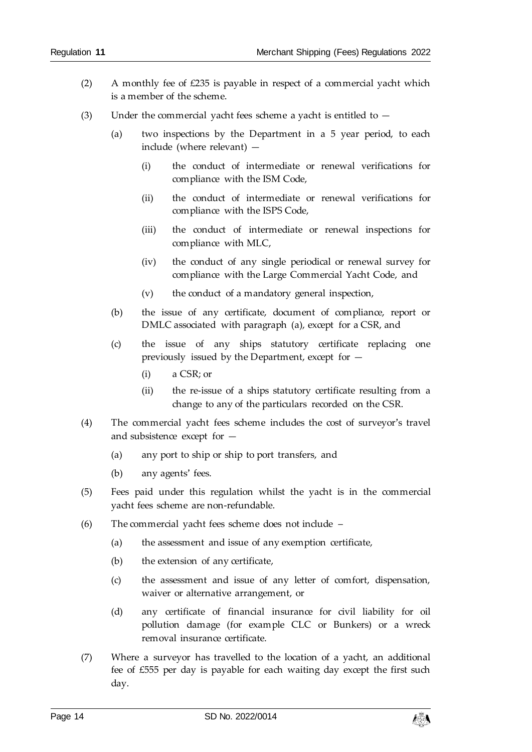- (2) A monthly fee of £235 is payable in respect of a commercial yacht which is a member of the scheme.
- (3) Under the commercial yacht fees scheme a yacht is entitled to  $-$ 
	- (a) two inspections by the Department in a 5 year period, to each include (where relevant) —
		- (i) the conduct of intermediate or renewal verifications for compliance with the ISM Code,
		- (ii) the conduct of intermediate or renewal verifications for compliance with the ISPS Code,
		- (iii) the conduct of intermediate or renewal inspections for compliance with MLC,
		- (iv) the conduct of any single periodical or renewal survey for compliance with the Large Commercial Yacht Code, and
		- (v) the conduct of a mandatory general inspection,
	- (b) the issue of any certificate, document of compliance, report or DMLC associated with paragraph (a), except for a CSR, and
	- (c) the issue of any ships statutory certificate replacing one previously issued by the Department, except for —
		- (i) a CSR; or
		- (ii) the re-issue of a ships statutory certificate resulting from a change to any of the particulars recorded on the CSR.
- (4) The commercial yacht fees scheme includes the cost of surveyor's travel and subsistence except for —
	- (a) any port to ship or ship to port transfers, and
	- (b) any agents' fees.
- (5) Fees paid under this regulation whilst the yacht is in the commercial yacht fees scheme are non-refundable.
- (6) The commercial yacht fees scheme does not include
	- (a) the assessment and issue of any exemption certificate,
	- (b) the extension of any certificate,
	- (c) the assessment and issue of any letter of comfort, dispensation, waiver or alternative arrangement, or
	- (d) any certificate of financial insurance for civil liability for oil pollution damage (for example CLC or Bunkers) or a wreck removal insurance certificate.
- (7) Where a surveyor has travelled to the location of a yacht, an additional fee of £555 per day is payable for each waiting day except the first such day.

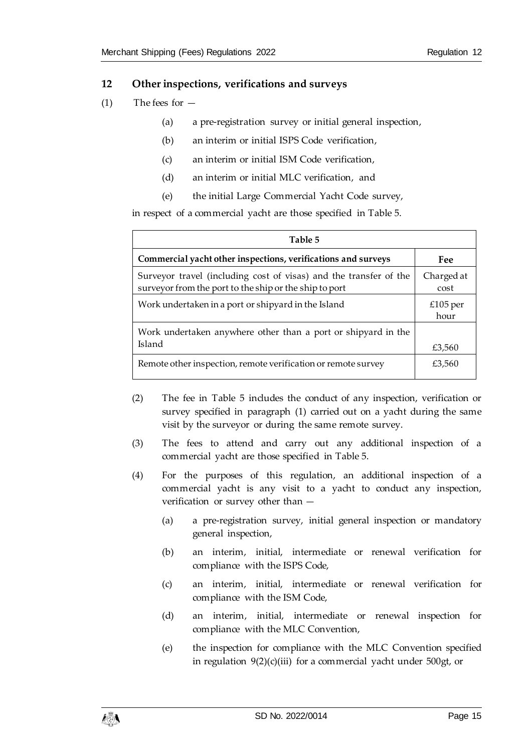#### <span id="page-14-0"></span>**12 Other inspections, verifications and surveys**

- $(1)$  The fees for  $-$ 
	- (a) a pre-registration survey or initial general inspection,
	- (b) an interim or initial ISPS Code verification,
	- (c) an interim or initial ISM Code verification,
	- (d) an interim or initial MLC verification, and
	- (e) the initial Large Commercial Yacht Code survey,

in respect of a commercial yacht are those specified in Table 5.

| Table 5                                                                                                                     |                    |
|-----------------------------------------------------------------------------------------------------------------------------|--------------------|
| Commercial yacht other inspections, verifications and surveys                                                               | Fee                |
| Surveyor travel (including cost of visas) and the transfer of the<br>surveyor from the port to the ship or the ship to port | Charged at<br>cost |
| Work undertaken in a port or shipyard in the Island                                                                         | £105 per<br>hour   |
| Work undertaken anywhere other than a port or shipyard in the<br>Island                                                     | £3,560             |
| Remote other inspection, remote verification or remote survey                                                               | £3,560             |

- (2) The fee in Table 5 includes the conduct of any inspection, verification or survey specified in paragraph (1) carried out on a yacht during the same visit by the surveyor or during the same remote survey.
- (3) The fees to attend and carry out any additional inspection of a commercial yacht are those specified in Table 5.
- (4) For the purposes of this regulation, an additional inspection of a commercial yacht is any visit to a yacht to conduct any inspection, verification or survey other than —
	- (a) a pre-registration survey, initial general inspection or mandatory general inspection,
	- (b) an interim, initial, intermediate or renewal verification for compliance with the ISPS Code,
	- (c) an interim, initial, intermediate or renewal verification for compliance with the ISM Code,
	- (d) an interim, initial, intermediate or renewal inspection for compliance with the MLC Convention,
	- (e) the inspection for compliance with the MLC Convention specified in regulation  $9(2)(c)(iii)$  for a commercial yacht under 500gt, or

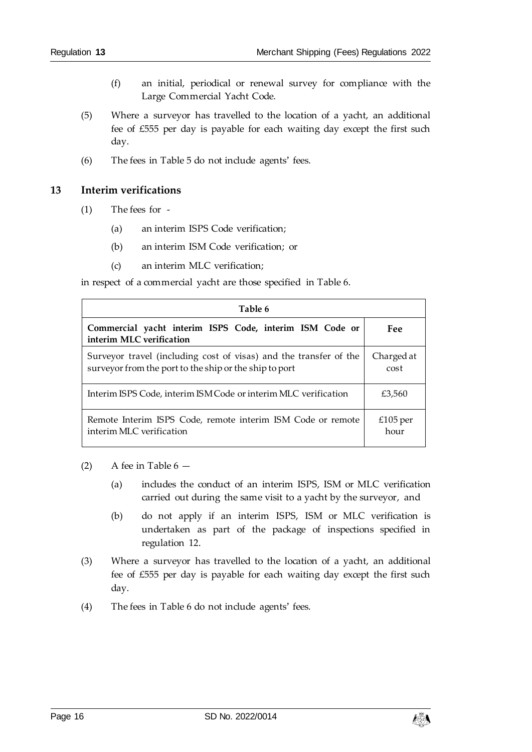- (f) an initial, periodical or renewal survey for compliance with the Large Commercial Yacht Code.
- (5) Where a surveyor has travelled to the location of a yacht, an additional fee of £555 per day is payable for each waiting day except the first such day.
- (6) The fees in Table 5 do not include agents' fees.

#### <span id="page-15-0"></span>**13 Interim verifications**

- (1) The fees for
	- (a) an interim ISPS Code verification;
	- (b) an interim ISM Code verification; or
	- (c) an interim MLC verification;

in respect of a commercial yacht are those specified in Table 6.

| Table 6                                                                                                                     |                    |
|-----------------------------------------------------------------------------------------------------------------------------|--------------------|
| Commercial yacht interim ISPS Code, interim ISM Code or<br>interim MLC verification                                         | Fee                |
| Surveyor travel (including cost of visas) and the transfer of the<br>surveyor from the port to the ship or the ship to port | Charged at<br>cost |
| Interim ISPS Code, interim ISM Code or interim MLC verification                                                             | £3,560             |
| Remote Interim ISPS Code, remote interim ISM Code or remote<br>interim MLC verification                                     | £105 per<br>hour   |

- (2) A fee in Table  $6 -$ 
	- (a) includes the conduct of an interim ISPS, ISM or MLC verification carried out during the same visit to a yacht by the surveyor, and
	- (b) do not apply if an interim ISPS, ISM or MLC verification is undertaken as part of the package of inspections specified in regulation 12.
- (3) Where a surveyor has travelled to the location of a yacht, an additional fee of £555 per day is payable for each waiting day except the first such day.
- (4) The fees in Table 6 do not include agents' fees.

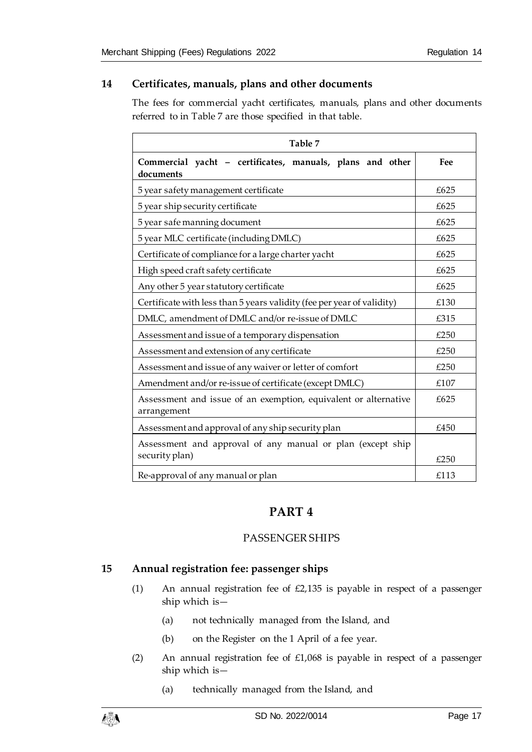#### <span id="page-16-0"></span>**14 Certificates, manuals, plans and other documents**

The fees for commercial yacht certificates, manuals, plans and other documents referred to in Table 7 are those specified in that table.

| Table 7                                                                        |      |  |
|--------------------------------------------------------------------------------|------|--|
| Commercial yacht - certificates, manuals, plans and other<br>documents         | Fee  |  |
| 5 year safety management certificate                                           | £625 |  |
| 5 year ship security certificate                                               | £625 |  |
| 5 year safe manning document                                                   | £625 |  |
| 5 year MLC certificate (including DMLC)                                        | £625 |  |
| Certificate of compliance for a large charter yacht                            | £625 |  |
| High speed craft safety certificate                                            | £625 |  |
| Any other 5 year statutory certificate                                         | £625 |  |
| Certificate with less than 5 years validity (fee per year of validity)         | £130 |  |
| DMLC, amendment of DMLC and/or re-issue of DMLC                                | £315 |  |
| Assessment and issue of a temporary dispensation                               | £250 |  |
| Assessment and extension of any certificate                                    | £250 |  |
| Assessment and issue of any waiver or letter of comfort                        | £250 |  |
| Amendment and/or re-issue of certificate (except DMLC)                         | £107 |  |
| Assessment and issue of an exemption, equivalent or alternative<br>arrangement | £625 |  |
| Assessment and approval of any ship security plan                              | £450 |  |
| Assessment and approval of any manual or plan (except ship<br>security plan)   | £250 |  |
| Re-approval of any manual or plan                                              | £113 |  |

# **PART 4**

## PASSENGER SHIPS

# <span id="page-16-3"></span><span id="page-16-2"></span><span id="page-16-1"></span>**15 Annual registration fee: passenger ships**

- (1) An annual registration fee of £2,135 is payable in respect of a passenger ship which is—
	- (a) not technically managed from the Island, and
	- (b) on the Register on the 1 April of a fee year.
- (2) An annual registration fee of £1,068 is payable in respect of a passenger ship which is—
	- (a) technically managed from the Island, and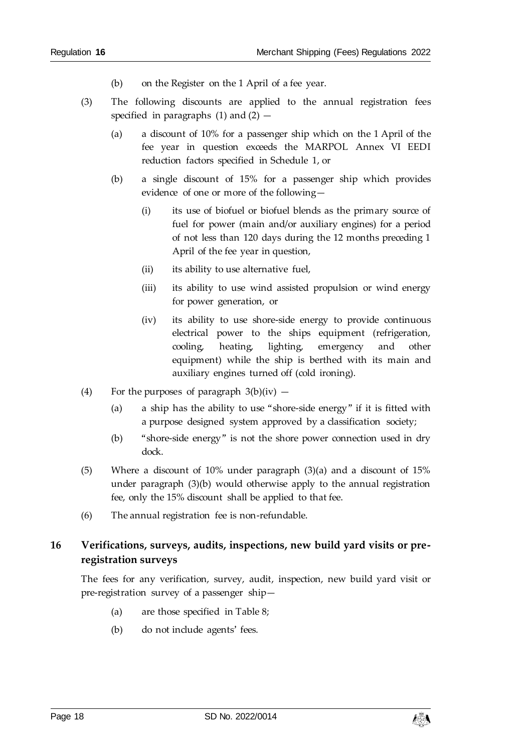- (b) on the Register on the 1 April of a fee year.
- (3) The following discounts are applied to the annual registration fees specified in paragraphs  $(1)$  and  $(2)$  -
	- (a) a discount of 10% for a passenger ship which on the 1 April of the fee year in question exceeds the MARPOL Annex VI EEDI reduction factors specified in Schedule 1, or
	- (b) a single discount of 15% for a passenger ship which provides evidence of one or more of the following—
		- (i) its use of biofuel or biofuel blends as the primary source of fuel for power (main and/or auxiliary engines) for a period of not less than 120 days during the 12 months preceding 1 April of the fee year in question,
		- (ii) its ability to use alternative fuel,
		- (iii) its ability to use wind assisted propulsion or wind energy for power generation, or
		- (iv) its ability to use shore-side energy to provide continuous electrical power to the ships equipment (refrigeration, cooling, heating, lighting, emergency and other equipment) while the ship is berthed with its main and auxiliary engines turned off (cold ironing).
- (4) For the purposes of paragraph  $3(b)(iv)$ 
	- (a) a ship has the ability to use "shore-side energy" if it is fitted with a purpose designed system approved by a classification society;
	- (b) "shore-side energy" is not the shore power connection used in dry dock.
- (5) Where a discount of 10% under paragraph (3)(a) and a discount of 15% under paragraph (3)(b) would otherwise apply to the annual registration fee, only the 15% discount shall be applied to that fee.
- (6) The annual registration fee is non-refundable.

# <span id="page-17-0"></span>**16 Verifications, surveys, audits, inspections, new build yard visits or preregistration surveys**

The fees for any verification, survey, audit, inspection, new build yard visit or pre-registration survey of a passenger ship—

- (a) are those specified in Table 8;
- (b) do not include agents' fees.

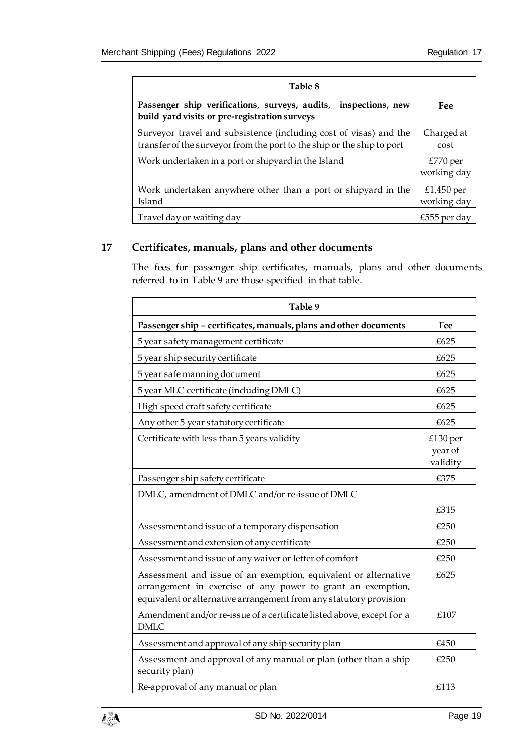| Table 8                                                                                                                                     |                           |
|---------------------------------------------------------------------------------------------------------------------------------------------|---------------------------|
| Passenger ship verifications, surveys, audits, inspections, new<br>build yard visits or pre-registration surveys                            | Fee                       |
| Surveyor travel and subsistence (including cost of visas) and the<br>transfer of the surveyor from the port to the ship or the ship to port | Charged at<br>cost        |
| Work undertaken in a port or shipyard in the Island                                                                                         | £770 per<br>working day   |
| Work undertaken anywhere other than a port or shipyard in the<br>Island                                                                     | £1,450 per<br>working day |
| Travel day or waiting day                                                                                                                   | £555 per day              |

# <span id="page-18-0"></span>**17 Certificates, manuals, plans and other documents**

The fees for passenger ship certificates, manuals, plans and other documents referred to in Table 9 are those specified in that table.

| Table 9                                                                                                                                                                                              |                                 |  |
|------------------------------------------------------------------------------------------------------------------------------------------------------------------------------------------------------|---------------------------------|--|
| Passenger ship - certificates, manuals, plans and other documents                                                                                                                                    | Fee                             |  |
| 5 year safety management certificate                                                                                                                                                                 | £625                            |  |
| 5 year ship security certificate                                                                                                                                                                     | £625                            |  |
| 5 year safe manning document                                                                                                                                                                         | £625                            |  |
| 5 year MLC certificate (including DMLC)                                                                                                                                                              | £625                            |  |
| High speed craft safety certificate                                                                                                                                                                  | £625                            |  |
| Any other 5 year statutory certificate                                                                                                                                                               | £625                            |  |
| Certificate with less than 5 years validity                                                                                                                                                          | £130 per<br>year of<br>validity |  |
| Passenger ship safety certificate                                                                                                                                                                    | £375                            |  |
| DMLC, amendment of DMLC and/or re-issue of DMLC                                                                                                                                                      |                                 |  |
|                                                                                                                                                                                                      | £315                            |  |
| Assessment and issue of a temporary dispensation                                                                                                                                                     | £250                            |  |
| Assessment and extension of any certificate                                                                                                                                                          | £250                            |  |
| Assessment and issue of any waiver or letter of comfort                                                                                                                                              | £250                            |  |
| Assessment and issue of an exemption, equivalent or alternative<br>arrangement in exercise of any power to grant an exemption,<br>equivalent or alternative arrangement from any statutory provision | £625                            |  |
| Amendment and/or re-issue of a certificate listed above, except for a<br><b>DMLC</b>                                                                                                                 | £107                            |  |
| Assessment and approval of any ship security plan                                                                                                                                                    | £450                            |  |
| Assessment and approval of any manual or plan (other than a ship<br>security plan)                                                                                                                   | £250                            |  |
| Re-approval of any manual or plan                                                                                                                                                                    | £113                            |  |

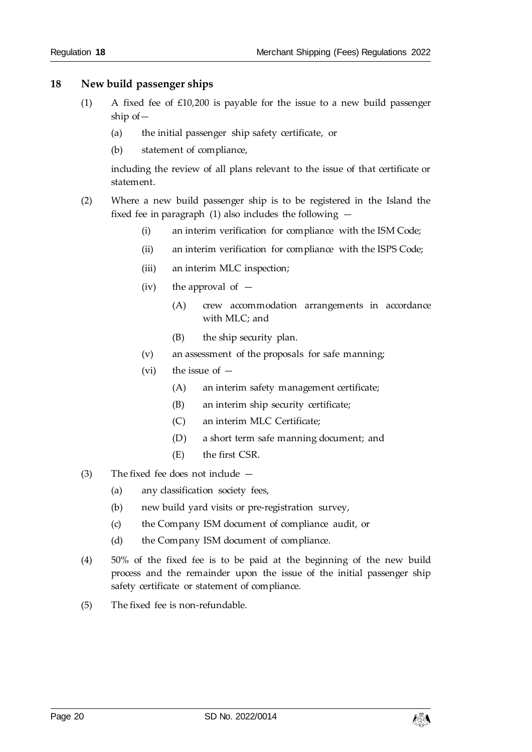#### <span id="page-19-0"></span>**18 New build passenger ships**

- (1) A fixed fee of £10,200 is payable for the issue to a new build passenger ship of—
	- (a) the initial passenger ship safety certificate, or
	- (b) statement of compliance,

including the review of all plans relevant to the issue of that certificate or statement.

- (2) Where a new build passenger ship is to be registered in the Island the fixed fee in paragraph (1) also includes the following  $-$ 
	- (i) an interim verification for compliance with the ISM Code;
	- (ii) an interim verification for compliance with the ISPS Code;
	- (iii) an interim MLC inspection;
	- (iv) the approval of  $-$ 
		- (A) crew accommodation arrangements in accordance with MLC; and
		- (B) the ship security plan.
	- (v) an assessment of the proposals for safe manning;
	- (vi) the issue of  $-$ 
		- (A) an interim safety management certificate;
		- (B) an interim ship security certificate;
		- (C) an interim MLC Certificate;
		- (D) a short term safe manning document; and
		- (E) the first CSR.
- (3) The fixed fee does not include
	- (a) any classification society fees,
	- (b) new build yard visits or pre-registration survey,
	- (c) the Company ISM document of compliance audit, or
	- (d) the Company ISM document of compliance.
- (4) 50% of the fixed fee is to be paid at the beginning of the new build process and the remainder upon the issue of the initial passenger ship safety certificate or statement of compliance.
- (5) The fixed fee is non-refundable.

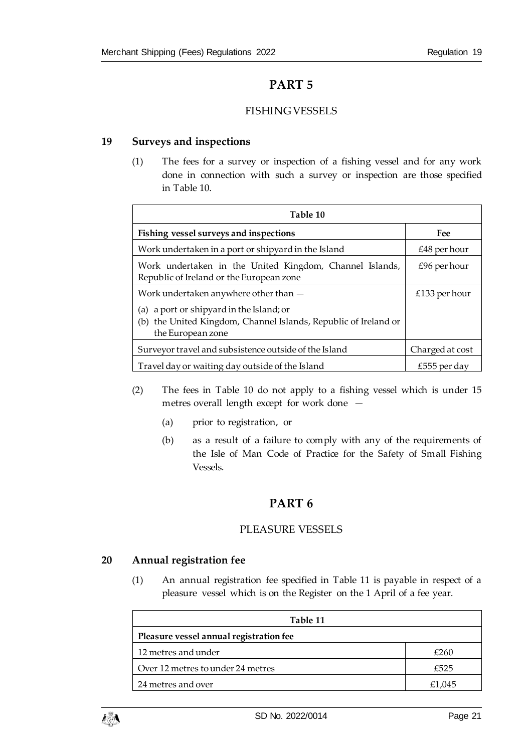# **PART 5**

## FISHING VESSELS

#### <span id="page-20-2"></span><span id="page-20-1"></span><span id="page-20-0"></span>**19 Surveys and inspections**

(1) The fees for a survey or inspection of a fishing vessel and for any work done in connection with such a survey or inspection are those specified in Table 10.

| Table 10                                                                                                                            |                 |  |
|-------------------------------------------------------------------------------------------------------------------------------------|-----------------|--|
| Fishing vessel surveys and inspections                                                                                              | Fee             |  |
| Work undertaken in a port or shipyard in the Island                                                                                 | $£48$ per hour  |  |
| Work undertaken in the United Kingdom, Channel Islands,<br>Republic of Ireland or the European zone                                 | $£96$ per hour  |  |
| Work undertaken anywhere other than -                                                                                               | £133 per hour   |  |
| (a) a port or shipyard in the Island; or<br>the United Kingdom, Channel Islands, Republic of Ireland or<br>(b)<br>the European zone |                 |  |
| Surveyor travel and subsistence outside of the Island                                                                               | Charged at cost |  |
| Travel day or waiting day outside of the Island                                                                                     | £555 per day    |  |

- (2) The fees in Table 10 do not apply to a fishing vessel which is under 15 metres overall length except for work done —
	- (a) prior to registration, or
	- (b) as a result of a failure to comply with any of the requirements of the Isle of Man Code of Practice for the Safety of Small Fishing Vessels.

# **PART 6**

#### PLEASURE VESSELS

#### <span id="page-20-5"></span><span id="page-20-4"></span><span id="page-20-3"></span>**20 Annual registration fee**

(1) An annual registration fee specified in Table 11 is payable in respect of a pleasure vessel which is on the Register on the 1 April of a fee year.

| Table 11                                |        |  |
|-----------------------------------------|--------|--|
| Pleasure vessel annual registration fee |        |  |
| 12 metres and under                     | £260   |  |
| Over 12 metres to under 24 metres       | £525   |  |
| 24 metres and over                      | £1,045 |  |

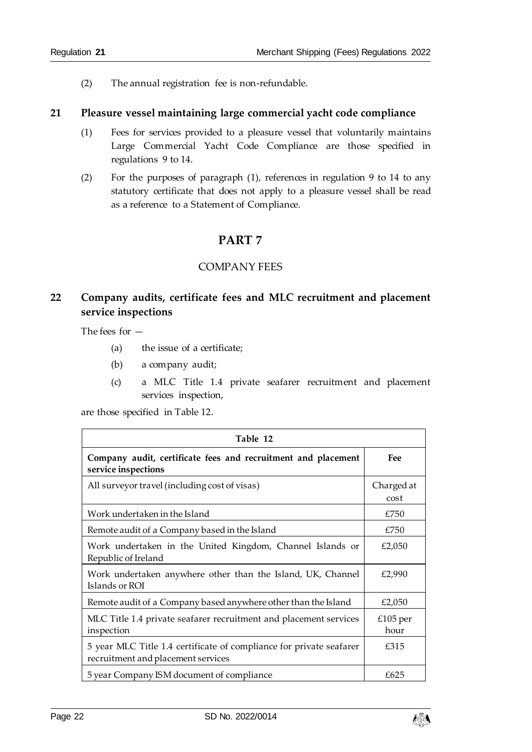(2) The annual registration fee is non-refundable.

#### <span id="page-21-0"></span>**21 Pleasure vessel maintaining large commercial yacht code compliance**

- (1) Fees for services provided to a pleasure vessel that voluntarily maintains Large Commercial Yacht Code Compliance are those specified in regulations 9 to 14.
- <span id="page-21-1"></span>(2) For the purposes of paragraph (1), references in regulation 9 to 14 to any statutory certificate that does not apply to a pleasure vessel shall be read as a reference to a Statement of Compliance.

# **PART 7**

#### COMPANY FEES

# <span id="page-21-3"></span><span id="page-21-2"></span>**22 Company audits, certificate fees and MLC recruitment and placement service inspections**

The fees for —

- (a) the issue of a certificate;
- (b) a company audit;
- (c) a MLC Title 1.4 private seafarer recruitment and placement services inspection,

are those specified in Table 12.

| Table 12                                                                                                  |                    |  |
|-----------------------------------------------------------------------------------------------------------|--------------------|--|
| Company audit, certificate fees and recruitment and placement<br>service inspections                      | Fee                |  |
| All surveyor travel (including cost of visas)                                                             | Charged at<br>cost |  |
| Work undertaken in the Island                                                                             | £750               |  |
| Remote audit of a Company based in the Island                                                             | £750               |  |
| Work undertaken in the United Kingdom, Channel Islands or<br>Republic of Ireland                          | £2,050             |  |
| Work undertaken anywhere other than the Island, UK, Channel<br>Islands or ROI                             | £2,990             |  |
| Remote audit of a Company based anywhere other than the Island                                            | £2,050             |  |
| MLC Title 1.4 private seafarer recruitment and placement services<br>inspection                           | £105 per<br>hour   |  |
| 5 year MLC Title 1.4 certificate of compliance for private seafarer<br>recruitment and placement services | £315               |  |
| 5 year Company ISM document of compliance                                                                 | £625               |  |

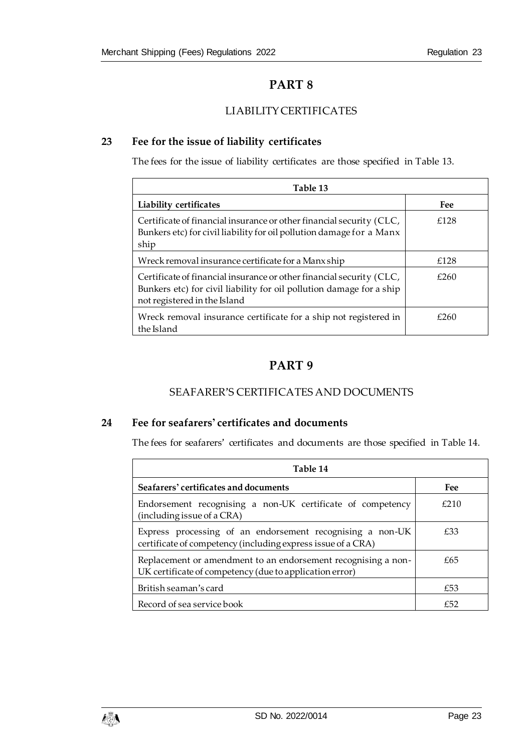# **PART 8**

# LIABILITY CERTIFICATES

# <span id="page-22-2"></span><span id="page-22-1"></span><span id="page-22-0"></span>**23 Fee for the issue of liability certificates**

The fees for the issue of liability certificates are those specified in Table 13.

| Table 13                                                                                                                                                                     |      |  |
|------------------------------------------------------------------------------------------------------------------------------------------------------------------------------|------|--|
| Liability certificates                                                                                                                                                       | Fee  |  |
| Certificate of financial insurance or other financial security (CLC,<br>Bunkers etc) for civil liability for oil pollution damage for a Manx<br>ship                         | £128 |  |
| Wreck removal insurance certificate for a Manx ship                                                                                                                          | £128 |  |
| Certificate of financial insurance or other financial security (CLC,<br>Bunkers etc) for civil liability for oil pollution damage for a ship<br>not registered in the Island | £260 |  |
| Wreck removal insurance certificate for a ship not registered in<br>the Island                                                                                               | £260 |  |

# **PART 9**

## SEAFARER'S CERTIFICATES AND DOCUMENTS

## <span id="page-22-5"></span><span id="page-22-4"></span><span id="page-22-3"></span>**24 Fee for seafarers' certificates and documents**

The fees for seafarers' certificates and documents are those specified in Table 14.

| Table 14                                                                                                                  |      |  |
|---------------------------------------------------------------------------------------------------------------------------|------|--|
| Seafarers' certificates and documents                                                                                     | Fee  |  |
| Endorsement recognising a non-UK certificate of competency<br>(including issue of a CRA)                                  | f210 |  |
| Express processing of an endorsement recognising a non-UK<br>certificate of competency (including express issue of a CRA) | £33  |  |
| Replacement or amendment to an endorsement recognising a non-<br>UK certificate of competency (due to application error)  | £65  |  |
| British seaman's card                                                                                                     | £53  |  |
| Record of sea service book                                                                                                | f52  |  |

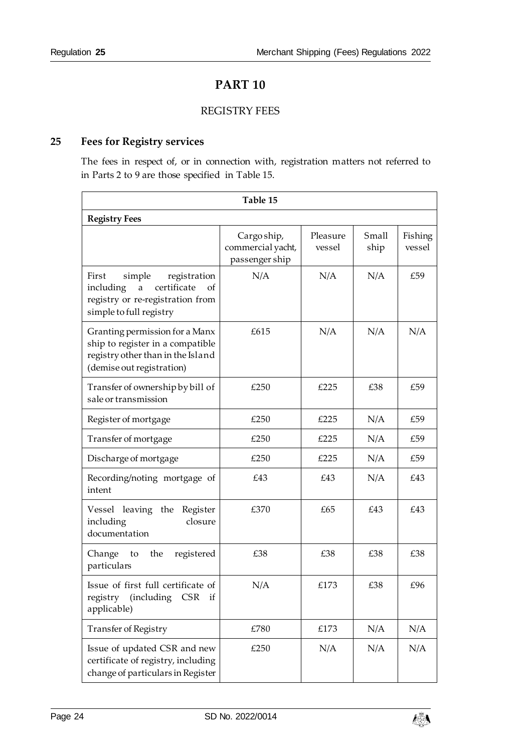# **PART 10**

#### REGISTRY FEES

# <span id="page-23-2"></span><span id="page-23-1"></span><span id="page-23-0"></span>**25 Fees for Registry services**

The fees in respect of, or in connection with, registration matters not referred to in Parts 2 to 9 are those specified in Table 15.

| Table 15                                                                                                                                         |                                                    |                    |               |                   |
|--------------------------------------------------------------------------------------------------------------------------------------------------|----------------------------------------------------|--------------------|---------------|-------------------|
| <b>Registry Fees</b>                                                                                                                             |                                                    |                    |               |                   |
|                                                                                                                                                  | Cargo ship,<br>commercial yacht,<br>passenger ship | Pleasure<br>vessel | Small<br>ship | Fishing<br>vessel |
| registration<br>First<br>simple<br>certificate<br>including<br>$\mathbf{a}$<br>of<br>registry or re-registration from<br>simple to full registry | N/A                                                | N/A                | N/A           | £59               |
| Granting permission for a Manx<br>ship to register in a compatible<br>registry other than in the Island<br>(demise out registration)             | £615                                               | N/A                | N/A           | N/A               |
| Transfer of ownership by bill of<br>sale or transmission                                                                                         | £250                                               | £225               | £38           | £59               |
| Register of mortgage                                                                                                                             | £250                                               | £225               | N/A           | £59               |
| Transfer of mortgage                                                                                                                             | £250                                               | £225               | N/A           | £59               |
| Discharge of mortgage                                                                                                                            | £250                                               | £225               | N/A           | £59               |
| Recording/noting mortgage of<br>intent                                                                                                           | £43                                                | £43                | N/A           | £43               |
| Vessel leaving the<br>Register<br>including<br>closure<br>documentation                                                                          | £370                                               | £65                | £43           | £43               |
| Change<br>the<br>registered<br>to<br>particulars                                                                                                 | £38                                                | £38                | £38           | £38               |
| Issue of first full certificate of<br>registry<br>(including<br>CSR if<br>applicable)                                                            | N/A                                                | £173               | £38           | £96               |
| <b>Transfer of Registry</b>                                                                                                                      | £780                                               | £173               | N/A           | N/A               |
| Issue of updated CSR and new<br>certificate of registry, including<br>change of particulars in Register                                          | £250                                               | N/A                | N/A           | N/A               |

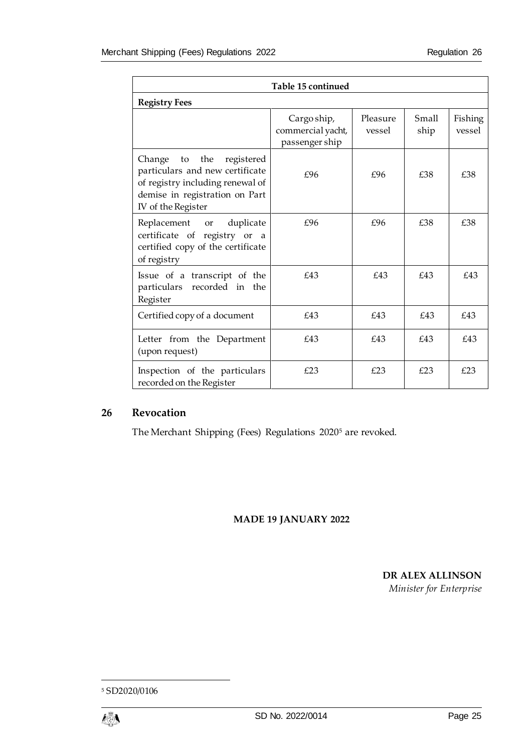| Table 15 continued                                                                                                                                         |                                                    |                    |               |                   |
|------------------------------------------------------------------------------------------------------------------------------------------------------------|----------------------------------------------------|--------------------|---------------|-------------------|
| <b>Registry Fees</b>                                                                                                                                       |                                                    |                    |               |                   |
|                                                                                                                                                            | Cargo ship,<br>commercial yacht,<br>passenger ship | Pleasure<br>vessel | Small<br>ship | Fishing<br>vessel |
| Change to the<br>registered<br>particulars and new certificate<br>of registry including renewal of<br>demise in registration on Part<br>IV of the Register | £96                                                | £96                | £38           | £38               |
| Replacement or duplicate<br>certificate of registry or a<br>certified copy of the certificate<br>of registry                                               | f96                                                | £96                | £38           | £38               |
| Issue of a transcript of the<br>particulars recorded in the<br>Register                                                                                    | £43                                                | £43                | £43           | £43               |
| Certified copy of a document                                                                                                                               | £43                                                | £43                | £43           | £43               |
| Letter from the Department<br>(upon request)                                                                                                               | £43                                                | £43                | £43           | £43               |
| Inspection of the particulars<br>recorded on the Register                                                                                                  | £23                                                | £23                | £23           | £23               |

# <span id="page-24-0"></span>**26 Revocation**

The Merchant Shipping (Fees) Regulations 2020<sup>5</sup> are revoked.

#### **MADE 19 JANUARY 2022**

**DR ALEX ALLINSON**

*Minister for Enterprise*

-

<sup>5</sup> SD2020/0106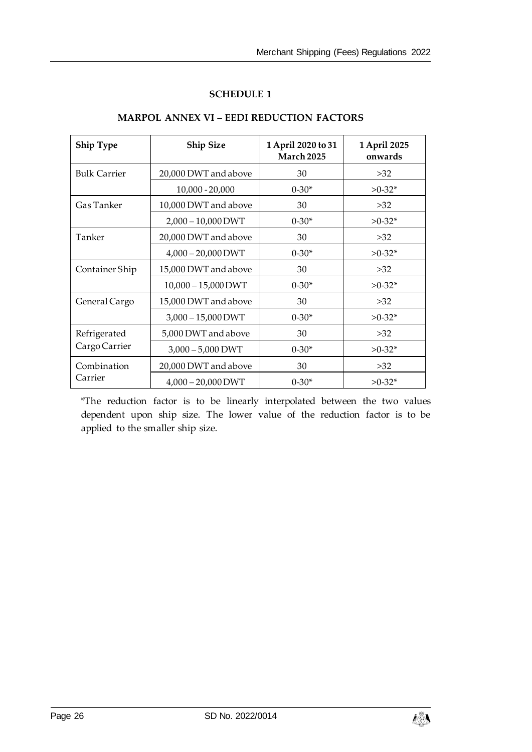#### **SCHEDULE 1**

<span id="page-25-1"></span><span id="page-25-0"></span>

| <b>Ship Type</b>       | <b>Ship Size</b>      | 1 April 2020 to 31<br>March 2025 | 1 April 2025<br>onwards |
|------------------------|-----------------------|----------------------------------|-------------------------|
| <b>Bulk Carrier</b>    | 20,000 DWT and above  | 30                               | >32                     |
|                        | $10,000 - 20,000$     | $0-30*$                          | $>0-32*$                |
| Gas Tanker             | 10,000 DWT and above  | 30                               | >32                     |
|                        | $2,000 - 10,000$ DWT  | $0-30*$                          | $>0-32*$                |
| Tanker                 | 20,000 DWT and above  | 30                               | >32                     |
|                        | $4,000 - 20,000$ DWT  | $0-30*$                          | $>0-32*$                |
| Container Ship         | 15,000 DWT and above  | 30                               | >32                     |
|                        | $10,000 - 15,000$ DWT | $0 - 30*$                        | $>0-32*$                |
| General Cargo          | 15,000 DWT and above  | 30                               | >32                     |
|                        | $3,000 - 15,000$ DWT  | $0-30*$                          | $>0-32*$                |
| Refrigerated           | 5,000 DWT and above   | 30                               | >32                     |
| Cargo Carrier          | $3,000 - 5,000$ DWT   | $0 - 30*$                        | $>0-32*$                |
| Combination<br>Carrier | 20,000 DWT and above  | 30                               | >32                     |
|                        | $4,000 - 20,000$ DWT  | $0 - 30*$                        | $>0-32*$                |

## **MARPOL ANNEX VI – EEDI REDUCTION FACTORS**

\*The reduction factor is to be linearly interpolated between the two values dependent upon ship size. The lower value of the reduction factor is to be applied to the smaller ship size.

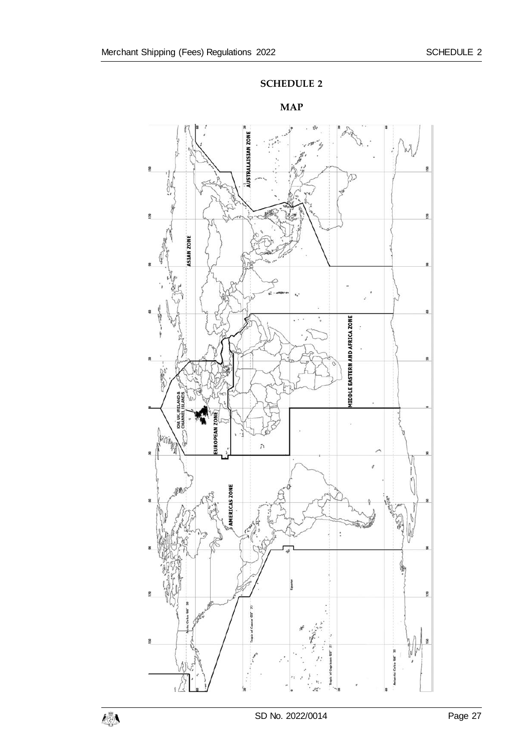

<span id="page-26-1"></span><span id="page-26-0"></span>